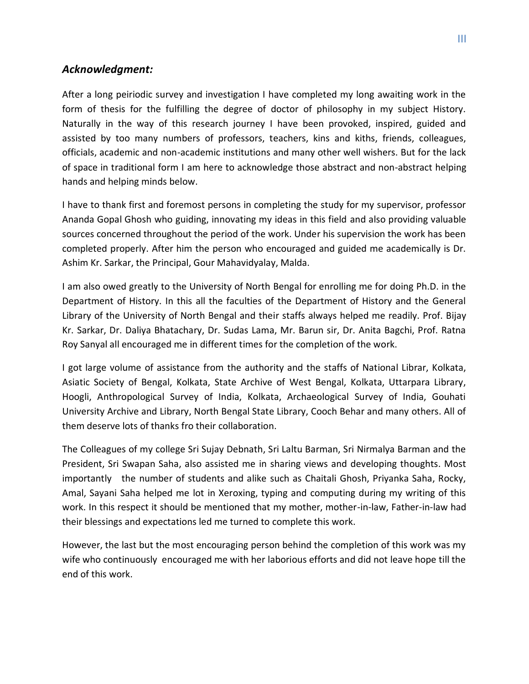## *Acknowledgment:*

After a long peiriodic survey and investigation I have completed my long awaiting work in the form of thesis for the fulfilling the degree of doctor of philosophy in my subject History. Naturally in the way of this research journey I have been provoked, inspired, guided and assisted by too many numbers of professors, teachers, kins and kiths, friends, colleagues, officials, academic and non-academic institutions and many other well wishers. But for the lack of space in traditional form I am here to acknowledge those abstract and non-abstract helping hands and helping minds below.

I have to thank first and foremost persons in completing the study for my supervisor, professor Ananda Gopal Ghosh who guiding, innovating my ideas in this field and also providing valuable sources concerned throughout the period of the work. Under his supervision the work has been completed properly. After him the person who encouraged and guided me academically is Dr. Ashim Kr. Sarkar, the Principal, Gour Mahavidyalay, Malda.

I am also owed greatly to the University of North Bengal for enrolling me for doing Ph.D. in the Department of History. In this all the faculties of the Department of History and the General Library of the University of North Bengal and their staffs always helped me readily. Prof. Bijay Kr. Sarkar, Dr. Daliya Bhatachary, Dr. Sudas Lama, Mr. Barun sir, Dr. Anita Bagchi, Prof. Ratna Roy Sanyal all encouraged me in different times for the completion of the work.

I got large volume of assistance from the authority and the staffs of National Librar, Kolkata, Asiatic Society of Bengal, Kolkata, State Archive of West Bengal, Kolkata, Uttarpara Library, Hoogli, Anthropological Survey of India, Kolkata, Archaeological Survey of India, Gouhati University Archive and Library, North Bengal State Library, Cooch Behar and many others. All of them deserve lots of thanks fro their collaboration.

The Colleagues of my college Sri Sujay Debnath, Sri Laltu Barman, Sri Nirmalya Barman and the President, Sri Swapan Saha, also assisted me in sharing views and developing thoughts. Most importantly the number of students and alike such as Chaitali Ghosh, Priyanka Saha, Rocky, Amal, Sayani Saha helped me lot in Xeroxing, typing and computing during my writing of this work. In this respect it should be mentioned that my mother, mother-in-law, Father-in-law had their blessings and expectations led me turned to complete this work.

However, the last but the most encouraging person behind the completion of this work was my wife who continuously encouraged me with her laborious efforts and did not leave hope till the end of this work.